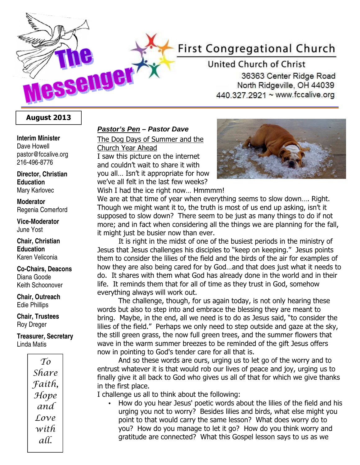# **First Congregational Church**

United Church of Christ 36363 Center Ridge Road North Ridgeville, OH 44039 440.327.2921 ~ www.fccalive.org

## August 2013

**SSGNUGT** 

#### **Interim Minister**  Dave Howell pastor@fccalive.org 216-496-8776

#### **Director, Christian Education**  Mary Karlovec

#### **Moderator**  Regenia Comerford

**Vice-Moderator**  June Yost

**Chair, Christian Education**  Karen Veliconia

#### **Co-Chairs, Deacons**  Diana Goode Keith Schoonover

**Chair, Outreach**  Edie Phillips

**Chair, Trustees**  Roy Dreger

**Treasurer, Secretary**  Linda Matis



#### **Pastor's Pen – Pastor Dave**

The Dog Days of Summer and the Church Year Ahead

I saw this picture on the internet and couldn't wait to share it with you all… Isn't it appropriate for how we've all felt in the last few weeks? Wish I had the ice right now… Hmmmm!



We are at that time of year when everything seems to slow down…. Right. Though we might want it to, the truth is most of us end up asking, isn't it supposed to slow down? There seem to be just as many things to do if not more; and in fact when considering all the things we are planning for the fall, it might just be busier now than ever.

It is right in the midst of one of the busiest periods in the ministry of Jesus that Jesus challenges his disciples to "keep on keeping." Jesus points them to consider the lilies of the field and the birds of the air for examples of how they are also being cared for by God…and that does just what it needs to do. It shares with them what God has already done in the world and in their life. It reminds them that for all of time as they trust in God, somehow everything always will work out.

The challenge, though, for us again today, is not only hearing these words but also to step into and embrace the blessing they are meant to bring. Maybe, in the end, all we need is to do as Jesus said, "to consider the lilies of the field." Perhaps we only need to step outside and gaze at the sky, the still green grass, the now full green trees, and the summer flowers that wave in the warm summer breezes to be reminded of the gift Jesus offers now in pointing to God's tender care for all that is.

And so these words are ours, urging us to let go of the worry and to entrust whatever it is that would rob our lives of peace and joy, urging us to finally give it all back to God who gives us all of that for which we give thanks in the first place.

I challenge us all to think about the following:

• How do you hear Jesus' poetic words about the lilies of the field and his urging you not to worry? Besides lilies and birds, what else might you point to that would carry the same lesson? What does worry do to you? How do you manage to let it go? How do you think worry and gratitude are connected? What this Gospel lesson says to us as we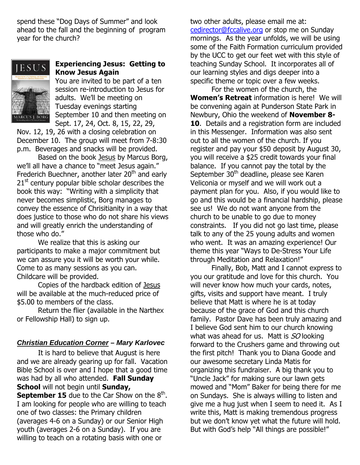spend these "Dog Days of Summer" and look ahead to the fall and the beginning of program year for the church?



## Experiencing Jesus: Getting to Know Jesus Again

You are invited to be part of a ten session re-introduction to Jesus for adults. We'll be meeting on Tuesday evenings starting September 10 and then meeting on Sept. 17, 24, Oct. 8, 15, 22, 29,

Nov. 12, 19, 26 with a closing celebration on December 10. The group will meet from 7-8:30 p.m. Beverages and snacks will be provided.

Based on the book Jesus by Marcus Borg, we'll all have a chance to "meet Jesus again." Frederich Buechner, another later 20<sup>th</sup> and early  $21<sup>st</sup>$  century popular bible scholar describes the book this way: "Writing with a simplicity that never becomes simplistic, Borg manages to convey the essence of Chrisitianity in a way that does justice to those who do not share his views and will greatly enrich the understanding of those who do."

We realize that this is asking our participants to make a major commitment but we can assure you it will be worth your while. Come to as many sessions as you can. Childcare will be provided.

Copies of the hardback edition of Jesus will be available at the much-reduced price of \$5.00 to members of the class.

Return the flier (available in the Narthex or Fellowship Hall) to sign up.

## **Christian Education Corner – Mary Karlovec**

It is hard to believe that August is here and we are already gearing up for fall. Vacation Bible School is over and I hope that a good time was had by all who attended. Fall Sunday School will not begin until Sunday, **September 15** due to the Car Show on the  $8<sup>th</sup>$ . I am looking for people who are willing to teach one of two classes: the Primary children (averages 4-6 on a Sunday) or our Senior High youth (averages 2-6 on a Sunday). If you are willing to teach on a rotating basis with one or

two other adults, please email me at: cedirector@fccalive.org or stop me on Sunday mornings. As the year unfolds, we will be using some of the Faith Formation curriculum provided by the UCC to get our feet wet with this style of teaching Sunday School. It incorporates all of our learning styles and digs deeper into a specific theme or topic over a few weeks.

For the women of the church, the Women's Retreat information is here! We will be convening again at Punderson State Park in Newbury, Ohio the weekend of November 8- 10. Details and a registration form are included in this Messenger. Information was also sent out to all the women of the church. If you register and pay your \$50 deposit by August 30, you will receive a \$25 credit towards your final balance. If you cannot pay the total by the September 30<sup>th</sup> deadline, please see Karen Veliconia or myself and we will work out a payment plan for you. Also, if you would like to go and this would be a financial hardship, please see us! We do not want anyone from the church to be unable to go due to money constraints. If you did not go last time, please talk to any of the 25 young adults and women who went. It was an amazing experience! Our theme this year "Ways to De-Stress Your Life through Meditation and Relaxation!"

Finally, Bob, Matt and I cannot express to you our gratitude and love for this church. You will never know how much your cards, notes, gifts, visits and support have meant. I truly believe that Matt is where he is at today because of the grace of God and this church family. Pastor Dave has been truly amazing and I believe God sent him to our church knowing what was ahead for us. Matt is  $SO$  looking forward to the Crushers game and throwing out the first pitch! Thank you to Diana Goode and our awesome secretary Linda Matis for organizing this fundraiser. A big thank you to "Uncle Jack" for making sure our lawn gets mowed and "Mom" Baker for being there for me on Sundays. She is always willing to listen and give me a hug just when I seem to need it. As I write this, Matt is making tremendous progress but we don't know yet what the future will hold. But with God's help "All things are possible!"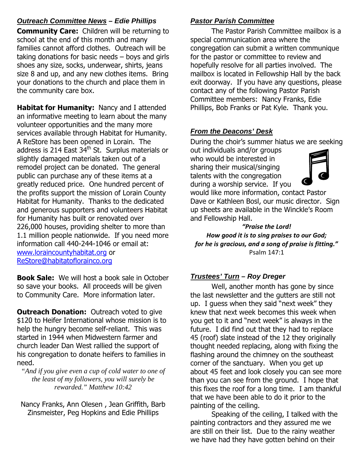## **Outreach Committee News – Edie Phillips**

**Community Care:** Children will be returning to school at the end of this month and many families cannot afford clothes. Outreach will be taking donations for basic needs – boys and girls shoes any size, socks, underwear, shirts, jeans size 8 and up, and any new clothes items. Bring your donations to the church and place them in the community care box.

Habitat for Humanity: Nancy and I attended an informative meeting to learn about the many volunteer opportunities and the many more services available through Habitat for Humanity. A ReStore has been opened in Lorain. The address is 214 East  $34<sup>th</sup>$  St. Surplus materials or slightly damaged materials taken out of a remodel project can be donated. The general public can purchase any of these items at a greatly reduced price. One hundred percent of the profits support the mission of Lorain County Habitat for Humanity. Thanks to the dedicated and generous supporters and volunteers Habitat for Humanity has built or renovated over 226,000 houses, providing shelter to more than 1.1 million people nationwide. If you need more information call 440-244-1046 or email at: www.loraincountyhabitat.org or ReStore@habitatoflorainco.org

**Book Sale:** We will host a book sale in October so save your books. All proceeds will be given to Community Care. More information later.

**Outreach Donation:** Outreach voted to give \$120 to Heifer International whose mission is to help the hungry become self-reliant. This was started in 1944 when Midwestern farmer and church leader Dan West rallied the support of his congregation to donate heifers to families in need.

*"And if you give even a cup of cold water to one of the least of my followers, you will surely be rewarded." Matthew 10:42* 

Nancy Franks, Ann Olesen , Jean Griffith, Barb Zinsmeister, Peg Hopkins and Edie Phillips

## **Pastor Parish Committee**

 The Pastor Parish Committee mailbox is a special communication area where the congregation can submit a written communique for the pastor or committee to review and hopefully resolve for all parties involved. The mailbox is located in Fellowship Hall by the back exit doorway. If you have any questions, please contact any of the following Pastor Parish Committee members: Nancy Franks, Edie Phillips, Bob Franks or Pat Kyle. Thank you.

## **From the Deacons' Desk**

During the choir's summer hiatus we are seeking

out individuals and/or groups who would be interested in sharing their musical/singing talents with the congregation during a worship service. If you



would like more information, contact Pastor Dave or Kathleen Bosl, our music director. Sign up sheets are available in the Winckle's Room and Fellowship Hall.

"Praise the Lord! How good it is to sing praises to our God; for he is gracious, and a song of praise is fitting." Psalm 147:1

## **Trustees' Turn – Roy Dreger**

Well, another month has gone by since the last newsletter and the gutters are still not up. I guess when they said "next week" they knew that next week becomes this week when you get to it and "next week" is always in the future. I did find out that they had to replace 45 (roof) slate instead of the 12 they originally thought needed replacing, along with fixing the flashing around the chimney on the southeast corner of the sanctuary. When you get up about 45 feet and look closely you can see more than you can see from the ground. I hope that this fixes the roof for a long time. I am thankful that we have been able to do it prior to the painting of the ceiling.

Speaking of the ceiling, I talked with the painting contractors and they assured me we are still on their list. Due to the rainy weather we have had they have gotten behind on their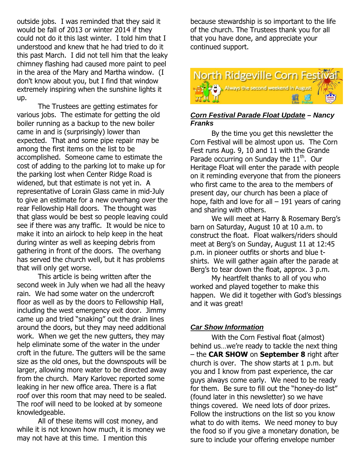outside jobs. I was reminded that they said it would be fall of 2013 or winter 2014 if they could not do it this last winter. I told him that I understood and knew that he had tried to do it this past March. I did not tell him that the leaky chimney flashing had caused more paint to peel in the area of the Mary and Martha window. (I don't know about you, but I find that window extremely inspiring when the sunshine lights it up.

The Trustees are getting estimates for various jobs. The estimate for getting the old boiler running as a backup to the new boiler came in and is (surprisingly) lower than expected. That and some pipe repair may be among the first items on the list to be accomplished. Someone came to estimate the cost of adding to the parking lot to make up for the parking lost when Center Ridge Road is widened, but that estimate is not yet in. A representative of Lorain Glass came in mid-July to give an estimate for a new overhang over the rear Fellowship Hall doors. The thought was that glass would be best so people leaving could see if there was any traffic. It would be nice to make it into an airlock to help keep in the heat during winter as well as keeping debris from gathering in front of the doors. The overhang has served the church well, but it has problems that will only get worse.

This article is being written after the second week in July when we had all the heavy rain. We had some water on the undercroft floor as well as by the doors to Fellowship Hall, including the west emergency exit door. Jimmy came up and tried "snaking" out the drain lines around the doors, but they may need additional work. When we get the new gutters, they may help eliminate some of the water in the under croft in the future. The gutters will be the same size as the old ones, but the downspouts will be larger, allowing more water to be directed away from the church. Mary Karlovec reported some leaking in her new office area. There is a flat roof over this room that may need to be sealed. The roof will need to be looked at by someone knowledgeable.

All of these items will cost money, and while it is not known how much, it is money we may not have at this time. I mention this

because stewardship is so important to the life of the church. The Trustees thank you for all that you have done, and appreciate your continued support.



#### **Corn Festival Parade Float Update – Nancy Franks**

By the time you get this newsletter the Corn Festival will be almost upon us. The Corn Fest runs Aug. 9, 10 and 11 with the Grande Parade occurring on Sunday the  $11<sup>th</sup>$ . Our Heritage Float will enter the parade with people on it reminding everyone that from the pioneers who first came to the area to the members of present day, our church has been a place of hope, faith and love for all  $-191$  years of caring and sharing with others.

We will meet at Harry & Rosemary Berg's barn on Saturday, August 10 at 10 a.m. to construct the float. Float walkers/riders should meet at Berg's on Sunday, August 11 at 12:45 p.m. in pioneer outfits or shorts and blue tshirts. We will gather again after the parade at Berg's to tear down the float, approx. 3 p.m.

My heartfelt thanks to all of you who worked and played together to make this happen. We did it together with God's blessings and it was great!

## **Car Show Information**

 With the Corn Festival float (almost) behind us…we're ready to tackle the next thing – the CAR SHOW on September 8 right after church is over. The show starts at 1 p.m. but you and I know from past experience, the car guys always come early. We need to be ready for them. Be sure to fill out the "honey-do list" (found later in this newsletter) so we have things covered. We need lots of door prizes. Follow the instructions on the list so you know what to do with items. We need money to buy the food so if you give a monetary donation, be sure to include your offering envelope number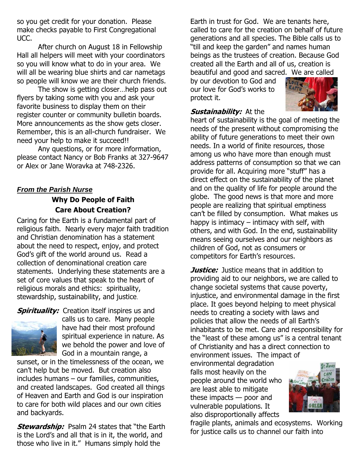so you get credit for your donation. Please make checks payable to First Congregational UCC.

 After church on August 18 in Fellowship Hall all helpers will meet with your coordinators so you will know what to do in your area. We will all be wearing blue shirts and car nametags so people will know we are their church friends.

 The show is getting closer…help pass out flyers by taking some with you and ask your favorite business to display them on their register counter or community bulletin boards. More announcements as the show gets closer. Remember, this is an all-church fundraiser. We need your help to make it succeed!!

 Any questions, or for more information, please contact Nancy or Bob Franks at 327-9647 or Alex or Jane Woravka at 748-2326.

# **From the Parish Nurse**

# Why Do People of Faith Care About Creation?

Caring for the Earth is a fundamental part of religious faith. Nearly every major faith tradition and Christian denomination has a statement about the need to respect, enjoy, and protect God's gift of the world around us. Read a collection of denominational creation care statements. Underlying these statements are a set of core values that speak to the heart of religious morals and ethics: spirituality, stewardship, sustainability, and justice.

**Spirituality:** Creation itself inspires us and



calls us to care. Many people have had their most profound spiritual experience in nature. As we behold the power and love of God in a mountain range, a

sunset, or in the timelessness of the ocean, we can't help but be moved. But creation also includes humans – our families, communities, and created landscapes. God created all things of Heaven and Earth and God is our inspiration to care for both wild places and our own cities and backyards.

**Stewardship:** Psalm 24 states that "the Earth is the Lord's and all that is in it, the world, and those who live in it." Humans simply hold the

Earth in trust for God. We are tenants here, called to care for the creation on behalf of future generations and all species. The Bible calls us to "till and keep the garden" and names human beings as the trustees of creation. Because God created all the Earth and all of us, creation is beautiful and good and sacred. We are called

by our devotion to God and our love for God's works to protect it.



## Sustainability: At the

heart of sustainability is the goal of meeting the needs of the present without compromising the ability of future generations to meet their own needs. In a world of finite resources, those among us who have more than enough must address patterns of consumption so that we can provide for all. Acquiring more "stuff" has a direct effect on the sustainability of the planet and on the quality of life for people around the globe. The good news is that more and more people are realizing that spiritual emptiness can't be filled by consumption. What makes us happy is intimacy – intimacy with self, with others, and with God. In the end, sustainability means seeing ourselves and our neighbors as children of God, not as consumers or competitors for Earth's resources.

**Justice:** Justice means that in addition to providing aid to our neighbors, we are called to change societal systems that cause poverty, injustice, and environmental damage in the first place. It goes beyond helping to meet physical needs to creating a society with laws and policies that allow the needs of all Earth's inhabitants to be met. Care and responsibility for the "least of these among us" is a central tenant of Christianity and has a direct connection to environment issues. The impact of

environmental degradation falls most heavily on the people around the world who are least able to mitigate these impacts — poor and vulnerable populations. It also disproportionally affects



fragile plants, animals and ecosystems. Working for justice calls us to channel our faith into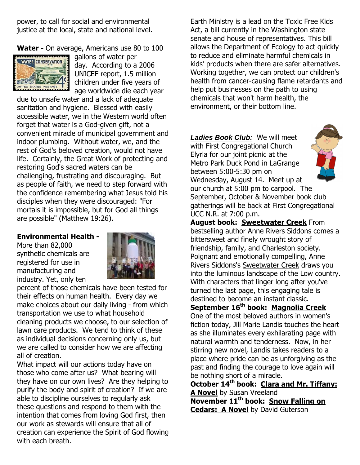power, to call for social and environmental justice at the local, state and national level.

Water - On average, Americans use 80 to 100



gallons of water per day. According to a 2006 UNICEF report, 1.5 million children under five years of age worldwide die each year

due to unsafe water and a lack of adequate sanitation and hygiene. Blessed with easily accessible water, we in the Western world often forget that water is a God-given gift, not a convenient miracle of municipal government and indoor plumbing. Without water, we, and the rest of God's beloved creation, would not have life. Certainly, the Great Work of protecting and restoring God's sacred waters can be challenging, frustrating and discouraging. But as people of faith, we need to step forward with the confidence remembering what Jesus told his disciples when they were discouraged: "For mortals it is impossible, but for God all things are possible" (Matthew 19:26).

## Environmental Health -

More than 82,000 synthetic chemicals are registered for use in manufacturing and industry. Yet, only ten



percent of those chemicals have been tested for their effects on human health. Every day we make choices about our daily living - from which transportation we use to what household cleaning products we choose, to our selection of lawn care products. We tend to think of these as individual decisions concerning only us, but we are called to consider how we are affecting all of creation.

What impact will our actions today have on those who come after us? What bearing will they have on our own lives? Are they helping to purify the body and spirit of creation? If we are able to discipline ourselves to regularly ask these questions and respond to them with the intention that comes from loving God first, then our work as stewards will ensure that all of creation can experience the Spirit of God flowing with each breath.

Earth Ministry is a lead on the Toxic Free Kids Act, a bill currently in the Washington state senate and house of representatives. This bill allows the Department of Ecology to act quickly to reduce and eliminate harmful chemicals in kids' products when there are safer alternatives. Working together, we can protect our children's health from cancer-causing flame retardants and help put businesses on the path to using chemicals that won't harm health, the environment, or their bottom line.

**Ladies Book Club:** We will meet with First Congregational Church Elyria for our joint picnic at the Metro Park Duck Pond in LaGrange between 5:00-5:30 pm on Wednesday, August 14. Meet up at



our church at 5:00 pm to carpool. The September, October & November book club gatherings will be back at First Congregational UCC N.R. at 7:00 p.m.

August book: Sweetwater Creek From bestselling author Anne Rivers Siddons comes a bittersweet and finely wrought story of friendship, family, and Charleston society. Poignant and emotionally compelling, Anne Rivers Siddons's Sweetwater Creek draws you into the luminous landscape of the Low country. With characters that linger long after you've turned the last page, this engaging tale is destined to become an instant classic. September 16<sup>th</sup> book: Magnolia Creek One of the most beloved authors in women's fiction today, Jill Marie Landis touches the heart as she illuminates every exhilarating page with natural warmth and tenderness. Now, in her stirring new novel, Landis takes readers to a

place where pride can be as unforgiving as the past and finding the courage to love again will be nothing short of a miracle. October  $14<sup>th</sup>$  book: Clara and Mr. Tiffany: A Novel by Susan Vreeland

November 11<sup>th</sup> book: Snow Falling on **Cedars: A Novel** by David Guterson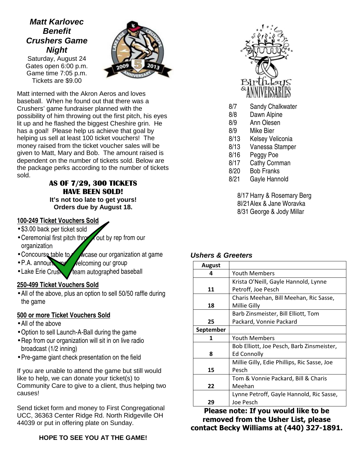# **Matt Karlovec Benefit Crushers Game Night**

Saturday, August 24 Gates open 6:00 p.m. Game time 7:05 p.m. Tickets are \$9.00



Matt interned with the Akron Aeros and loves baseball. When he found out that there was a Crushers' game fundraiser planned with the possibility of him throwing out the first pitch, his eyes lit up and he flashed the biggest Cheshire grin. He has a goal! Please help us achieve that goal by helping us sell at least 100 ticket vouchers! The money raised from the ticket voucher sales will be given to Matt, Mary and Bob. The amount raised is dependent on the number of tickets sold. Below are the package perks according to the number of tickets sold.

## AS OF 7/29, 300 TICKETS HAVE BEEN SOLD! **It's not too late to get yours! Orders due by August 18.**

## **100-249 Ticket Vouchers Sold**

- \$3.00 back per ticket sold
- Ceremonial first pitch throw out by rep from our organization
- Concourse table to  $\mathbb{Z}$  M case our organization at game
- $\bullet$  P.A. announcement welcoming our group
- $\bullet$  Lake Erie Crushers team autographed baseball

#### **250-499 Ticket Vouchers Sold**

• All of the above, plus an option to sell 50/50 raffle during the game

## **500 or more Ticket Vouchers Sold**

- All of the above
- •Option to sell Launch-A-Ball during the game
- •Rep from our organization will sit in on live radio broadcast (1/2 inning)
- Pre-game giant check presentation on the field

If you are unable to attend the game but still would like to help, we can donate your ticket(s) to Community Care to give to a client, thus helping two causes!

Send ticket form and money to First Congregational UCC, 36363 Center Ridge Rd. North Ridgeville OH 44039 or put in offering plate on Sunday.

## **HOPE TO SEE YOU AT THE GAME!**



- 8/7 Sandy Chalkwater
- 8/8 Dawn Alpine
- 8/9 Ann Olesen
- 8/9 Mike Bier
- 8/13 Kelsey Veliconia
- 8/13 Vanessa Stamper
- 8/16 Peggy Poe
- 8/17 Cathy Cornman
- 8/20 Bob Franks
- 8/21 Gayle Hannold

8/17 Harry & Rosemary Berg 8l/21 Alex & Jane Woravka 8/31 George & Jody Millar

#### **Ushers & Greeters**

| <b>August</b>    |                                             |  |  |  |
|------------------|---------------------------------------------|--|--|--|
| 4                | Youth Members                               |  |  |  |
|                  | Krista O'Neill, Gayle Hannold, Lynne        |  |  |  |
| 11               | Petroff, Joe Pesch                          |  |  |  |
|                  | Charis Meehan, Bill Meehan, Ric Sasse,      |  |  |  |
| 18               | Millie Gilly                                |  |  |  |
|                  | Barb Zinsmeister, Bill Elliott, Tom         |  |  |  |
| 25               | Packard, Vonnie Packard                     |  |  |  |
| <b>September</b> |                                             |  |  |  |
| 1                | Youth Members                               |  |  |  |
|                  | Bob Elliott, Joe Pesch, Barb Zinsmeister,   |  |  |  |
| 8                | Ed Connolly                                 |  |  |  |
|                  | Millie Gilly, Edie Phillips, Ric Sasse, Joe |  |  |  |
| 15               | Pesch                                       |  |  |  |
|                  | Tom & Vonnie Packard, Bill & Charis         |  |  |  |
| 22               | Meehan                                      |  |  |  |
|                  | Lynne Petroff, Gayle Hannold, Ric Sasse,    |  |  |  |
| 29               | Joe Pesch                                   |  |  |  |

Please note: If you would like to be removed from the Usher List, please contact Becky Williams at (440) 327-1891.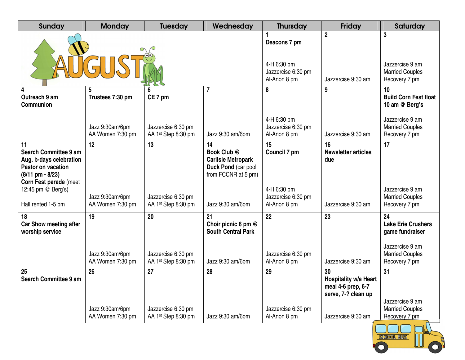| <b>Sunday</b>                                                                                                                                                     | <b>Monday</b>                             | <b>Tuesday</b>                                        | Wednesday                                                                                    | <b>Thursday</b>                                                   | <b>Friday</b>                                                            | Saturday                                                                                                         |
|-------------------------------------------------------------------------------------------------------------------------------------------------------------------|-------------------------------------------|-------------------------------------------------------|----------------------------------------------------------------------------------------------|-------------------------------------------------------------------|--------------------------------------------------------------------------|------------------------------------------------------------------------------------------------------------------|
|                                                                                                                                                                   |                                           |                                                       |                                                                                              | Deacons 7 pm<br>4-H 6:30 pm<br>Jazzercise 6:30 pm<br>Al-Anon 8 pm | $\overline{2}$<br>Jazzercise 9:30 am                                     | 3<br>Jazzercise 9 am<br><b>Married Couples</b><br>Recovery 7 pm                                                  |
| 4<br>Outreach 9 am<br><b>Communion</b>                                                                                                                            | Trustees 7:30 pm                          | CE 7 pm                                               | $\overline{7}$                                                                               | 8                                                                 | 9                                                                        | 10<br><b>Build Corn Fest float</b><br>10 am @ Berg's                                                             |
|                                                                                                                                                                   | Jazz 9:30am/6pm<br>AA Women 7:30 pm       | Jazzercise 6:30 pm<br>AA 1st Step 8:30 pm             | Jazz 9:30 am/6pm                                                                             | 4-H 6:30 pm<br>Jazzercise 6:30 pm<br>Al-Anon 8 pm                 | Jazzercise 9:30 am                                                       | Jazzercise 9 am<br><b>Married Couples</b><br>Recovery 7 pm                                                       |
| 11<br><b>Search Committee 9 am</b><br>Aug. b-days celebration<br>Pastor on vacation<br>$(8/11 \text{ pm} - 8/23)$<br>Corn Fest parade (meet<br>12:45 pm @ Berg's) | 12                                        | 13                                                    | 14<br>Book Club @<br><b>Carlisle Metropark</b><br>Duck Pond (car pool<br>from FCCNR at 5 pm) | 15<br>Council 7 pm<br>4-H 6:30 pm                                 | 16<br><b>Newsletter articles</b><br>due                                  | 17<br>Jazzercise 9 am                                                                                            |
| Hall rented 1-5 pm                                                                                                                                                | Jazz 9:30am/6pm<br>AA Women 7:30 pm       | Jazzercise 6:30 pm<br>AA 1st Step 8:30 pm             | Jazz 9:30 am/6pm                                                                             | Jazzercise 6:30 pm<br>Al-Anon 8 pm                                | Jazzercise 9:30 am                                                       | <b>Married Couples</b><br>Recovery 7 pm                                                                          |
| 18<br>Car Show meeting after<br>worship service                                                                                                                   | 19<br>Jazz 9:30am/6pm<br>AA Women 7:30 pm | 20<br>Jazzercise 6:30 pm<br>AA 1st Step 8:30 pm       | 21<br>Choir picnic 6 pm @<br><b>South Central Park</b><br>Jazz 9:30 am/6pm                   | 22<br>Jazzercise 6:30 pm<br>Al-Anon 8 pm                          | 23<br>Jazzercise 9:30 am                                                 | 24<br><b>Lake Erie Crushers</b><br>game fundraiser<br>Jazzercise 9 am<br><b>Married Couples</b><br>Recovery 7 pm |
| 25<br><b>Search Committee 9 am</b>                                                                                                                                | 26                                        | 27                                                    | 28                                                                                           | 29                                                                | 30<br>Hospitality w/a Heart<br>meal 4-6 prep, 6-7<br>serve, 7-? clean up | 31                                                                                                               |
|                                                                                                                                                                   | Jazz 9:30am/6pm<br>AA Women 7:30 pm       | Jazzercise 6:30 pm<br>AA 1 <sup>st</sup> Step 8:30 pm | Jazz 9:30 am/6pm                                                                             | Jazzercise 6:30 pm<br>Al-Anon 8 pm                                | Jazzercise 9:30 am                                                       | Jazzercise 9 am<br><b>Married Couples</b><br>Recovery 7 pm                                                       |